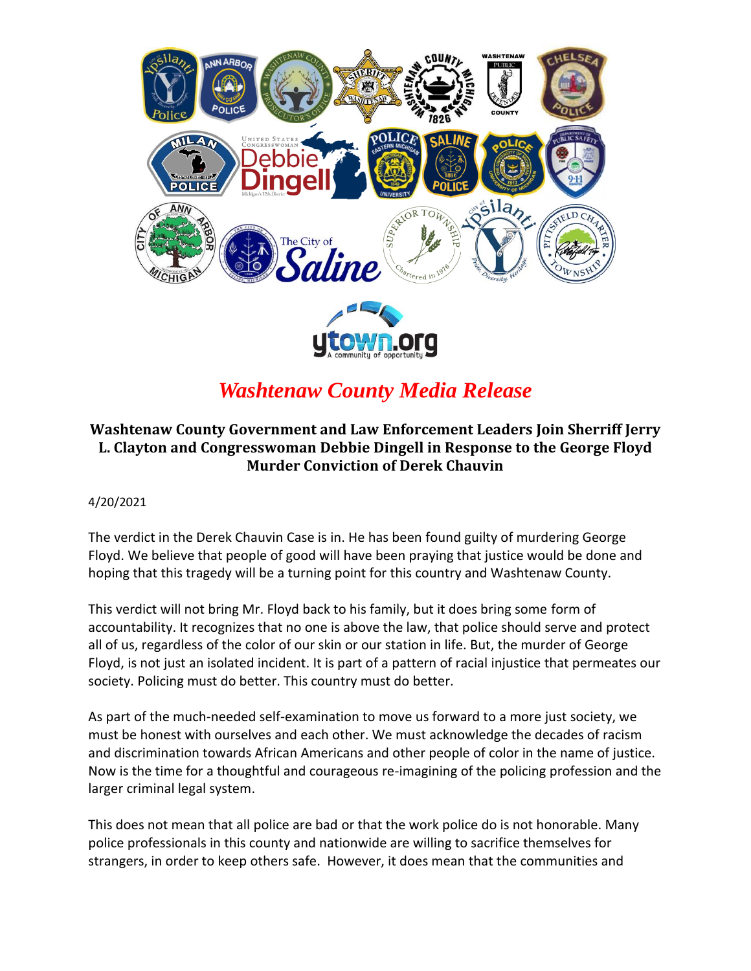

## *Washtenaw County Media Release*

## **Washtenaw County Government and Law Enforcement Leaders Join Sherriff Jerry L. Clayton and Congresswoman Debbie Dingell in Response to the George Floyd Murder Conviction of Derek Chauvin**

## 4/20/2021

The verdict in the Derek Chauvin Case is in. He has been found guilty of murdering George Floyd. We believe that people of good will have been praying that justice would be done and hoping that this tragedy will be a turning point for this country and Washtenaw County.

This verdict will not bring Mr. Floyd back to his family, but it does bring some form of accountability. It recognizes that no one is above the law, that police should serve and protect all of us, regardless of the color of our skin or our station in life. But, the murder of George Floyd, is not just an isolated incident. It is part of a pattern of racial injustice that permeates our society. Policing must do better. This country must do better.

As part of the much-needed self-examination to move us forward to a more just society, we must be honest with ourselves and each other. We must acknowledge the decades of racism and discrimination towards African Americans and other people of color in the name of justice. Now is the time for a thoughtful and courageous re-imagining of the policing profession and the larger criminal legal system.

This does not mean that all police are bad or that the work police do is not honorable. Many police professionals in this county and nationwide are willing to sacrifice themselves for strangers, in order to keep others safe. However, it does mean that the communities and